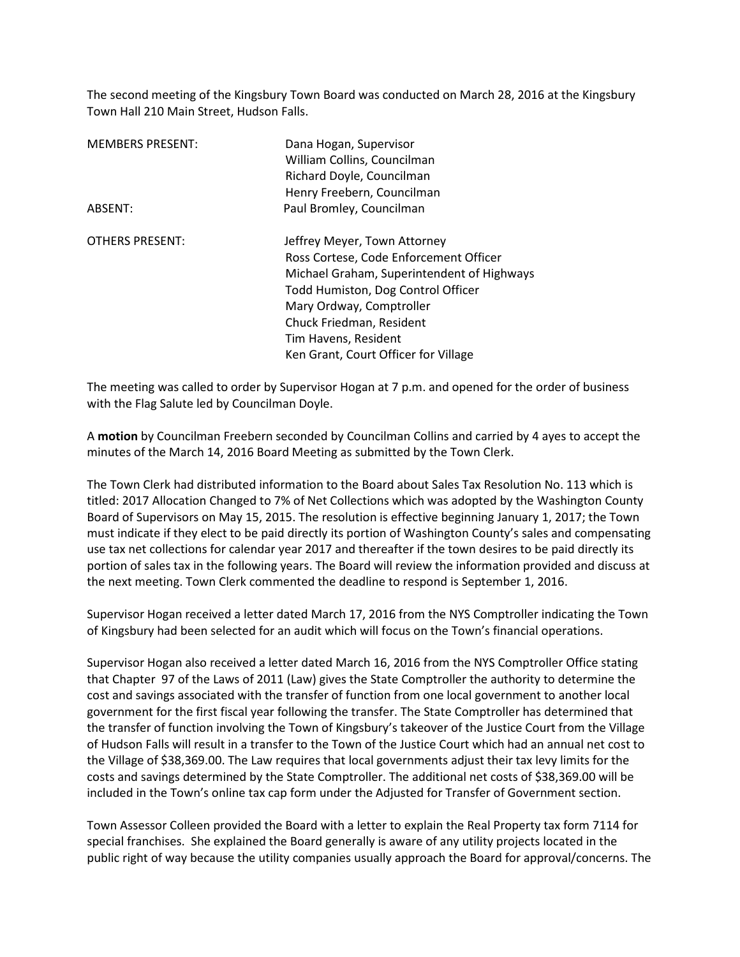The second meeting of the Kingsbury Town Board was conducted on March 28, 2016 at the Kingsbury Town Hall 210 Main Street, Hudson Falls.

| <b>MEMBERS PRESENT:</b> | Dana Hogan, Supervisor                     |
|-------------------------|--------------------------------------------|
|                         | William Collins, Councilman                |
|                         | Richard Doyle, Councilman                  |
|                         | Henry Freebern, Councilman                 |
| ABSENT:                 | Paul Bromley, Councilman                   |
| <b>OTHERS PRESENT:</b>  | Jeffrey Meyer, Town Attorney               |
|                         | Ross Cortese, Code Enforcement Officer     |
|                         | Michael Graham, Superintendent of Highways |
|                         | Todd Humiston, Dog Control Officer         |
|                         | Mary Ordway, Comptroller                   |
|                         | Chuck Friedman, Resident                   |
|                         | Tim Havens, Resident                       |
|                         | Ken Grant, Court Officer for Village       |

The meeting was called to order by Supervisor Hogan at 7 p.m. and opened for the order of business with the Flag Salute led by Councilman Doyle.

A **motion** by Councilman Freebern seconded by Councilman Collins and carried by 4 ayes to accept the minutes of the March 14, 2016 Board Meeting as submitted by the Town Clerk.

The Town Clerk had distributed information to the Board about Sales Tax Resolution No. 113 which is titled: 2017 Allocation Changed to 7% of Net Collections which was adopted by the Washington County Board of Supervisors on May 15, 2015. The resolution is effective beginning January 1, 2017; the Town must indicate if they elect to be paid directly its portion of Washington County's sales and compensating use tax net collections for calendar year 2017 and thereafter if the town desires to be paid directly its portion of sales tax in the following years. The Board will review the information provided and discuss at the next meeting. Town Clerk commented the deadline to respond is September 1, 2016.

Supervisor Hogan received a letter dated March 17, 2016 from the NYS Comptroller indicating the Town of Kingsbury had been selected for an audit which will focus on the Town's financial operations.

Supervisor Hogan also received a letter dated March 16, 2016 from the NYS Comptroller Office stating that Chapter 97 of the Laws of 2011 (Law) gives the State Comptroller the authority to determine the cost and savings associated with the transfer of function from one local government to another local government for the first fiscal year following the transfer. The State Comptroller has determined that the transfer of function involving the Town of Kingsbury's takeover of the Justice Court from the Village of Hudson Falls will result in a transfer to the Town of the Justice Court which had an annual net cost to the Village of \$38,369.00. The Law requires that local governments adjust their tax levy limits for the costs and savings determined by the State Comptroller. The additional net costs of \$38,369.00 will be included in the Town's online tax cap form under the Adjusted for Transfer of Government section.

Town Assessor Colleen provided the Board with a letter to explain the Real Property tax form 7114 for special franchises. She explained the Board generally is aware of any utility projects located in the public right of way because the utility companies usually approach the Board for approval/concerns. The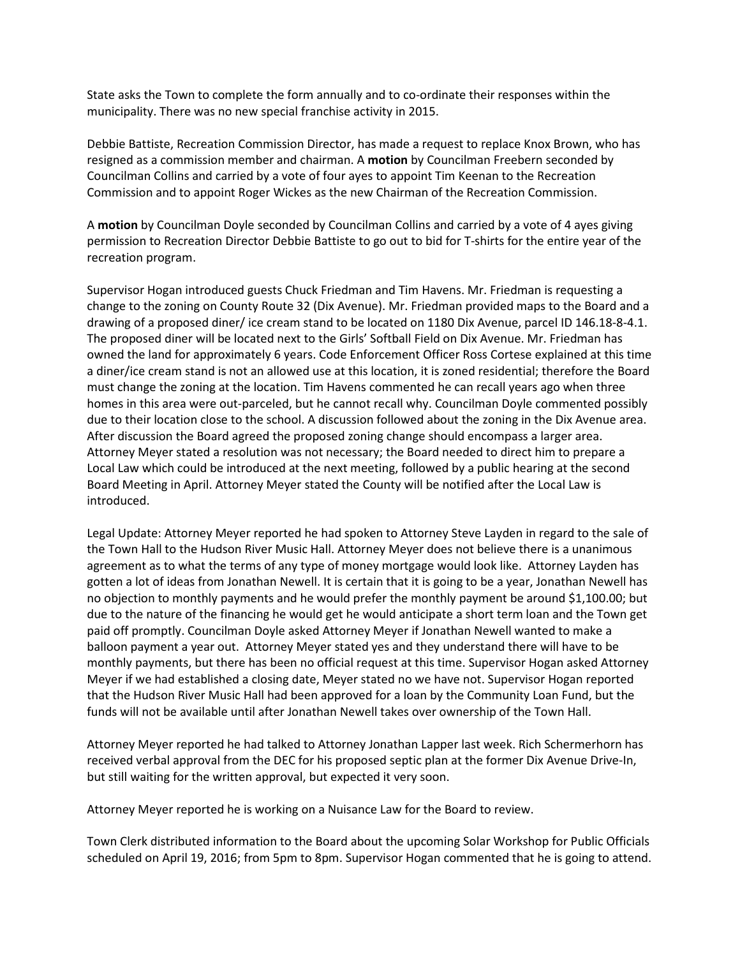State asks the Town to complete the form annually and to co-ordinate their responses within the municipality. There was no new special franchise activity in 2015.

Debbie Battiste, Recreation Commission Director, has made a request to replace Knox Brown, who has resigned as a commission member and chairman. A **motion** by Councilman Freebern seconded by Councilman Collins and carried by a vote of four ayes to appoint Tim Keenan to the Recreation Commission and to appoint Roger Wickes as the new Chairman of the Recreation Commission.

A **motion** by Councilman Doyle seconded by Councilman Collins and carried by a vote of 4 ayes giving permission to Recreation Director Debbie Battiste to go out to bid for T-shirts for the entire year of the recreation program.

Supervisor Hogan introduced guests Chuck Friedman and Tim Havens. Mr. Friedman is requesting a change to the zoning on County Route 32 (Dix Avenue). Mr. Friedman provided maps to the Board and a drawing of a proposed diner/ ice cream stand to be located on 1180 Dix Avenue, parcel ID 146.18-8-4.1. The proposed diner will be located next to the Girls' Softball Field on Dix Avenue. Mr. Friedman has owned the land for approximately 6 years. Code Enforcement Officer Ross Cortese explained at this time a diner/ice cream stand is not an allowed use at this location, it is zoned residential; therefore the Board must change the zoning at the location. Tim Havens commented he can recall years ago when three homes in this area were out-parceled, but he cannot recall why. Councilman Doyle commented possibly due to their location close to the school. A discussion followed about the zoning in the Dix Avenue area. After discussion the Board agreed the proposed zoning change should encompass a larger area. Attorney Meyer stated a resolution was not necessary; the Board needed to direct him to prepare a Local Law which could be introduced at the next meeting, followed by a public hearing at the second Board Meeting in April. Attorney Meyer stated the County will be notified after the Local Law is introduced.

Legal Update: Attorney Meyer reported he had spoken to Attorney Steve Layden in regard to the sale of the Town Hall to the Hudson River Music Hall. Attorney Meyer does not believe there is a unanimous agreement as to what the terms of any type of money mortgage would look like. Attorney Layden has gotten a lot of ideas from Jonathan Newell. It is certain that it is going to be a year, Jonathan Newell has no objection to monthly payments and he would prefer the monthly payment be around \$1,100.00; but due to the nature of the financing he would get he would anticipate a short term loan and the Town get paid off promptly. Councilman Doyle asked Attorney Meyer if Jonathan Newell wanted to make a balloon payment a year out. Attorney Meyer stated yes and they understand there will have to be monthly payments, but there has been no official request at this time. Supervisor Hogan asked Attorney Meyer if we had established a closing date, Meyer stated no we have not. Supervisor Hogan reported that the Hudson River Music Hall had been approved for a loan by the Community Loan Fund, but the funds will not be available until after Jonathan Newell takes over ownership of the Town Hall.

Attorney Meyer reported he had talked to Attorney Jonathan Lapper last week. Rich Schermerhorn has received verbal approval from the DEC for his proposed septic plan at the former Dix Avenue Drive-In, but still waiting for the written approval, but expected it very soon.

Attorney Meyer reported he is working on a Nuisance Law for the Board to review.

Town Clerk distributed information to the Board about the upcoming Solar Workshop for Public Officials scheduled on April 19, 2016; from 5pm to 8pm. Supervisor Hogan commented that he is going to attend.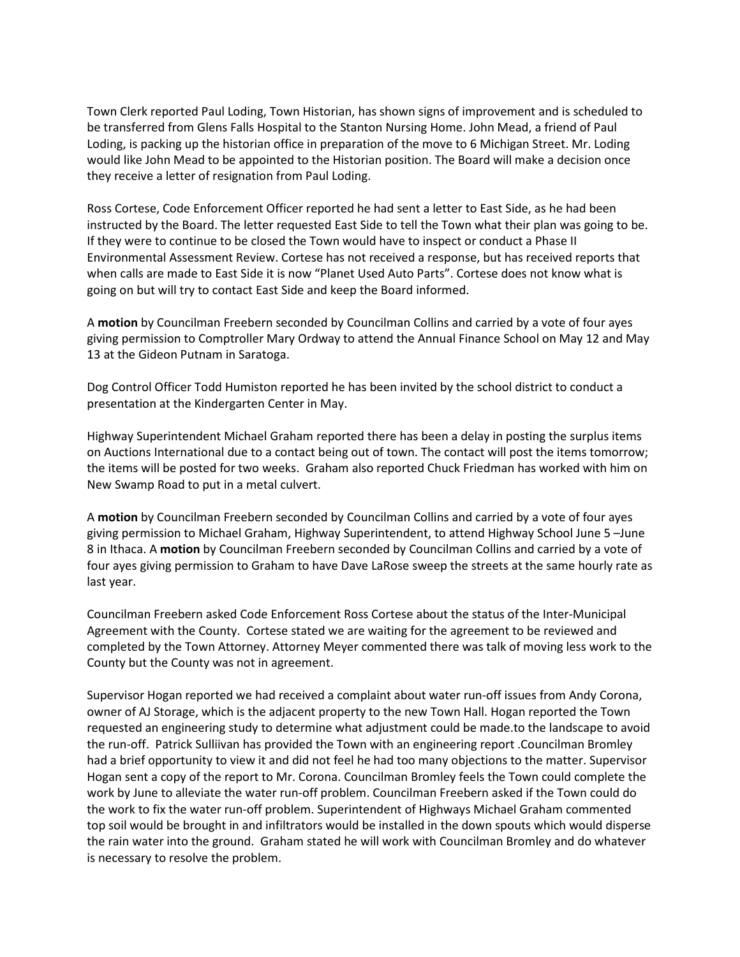Town Clerk reported Paul Loding, Town Historian, has shown signs of improvement and is scheduled to be transferred from Glens Falls Hospital to the Stanton Nursing Home. John Mead, a friend of Paul Loding, is packing up the historian office in preparation of the move to 6 Michigan Street. Mr. Loding would like John Mead to be appointed to the Historian position. The Board will make a decision once they receive a letter of resignation from Paul Loding.

Ross Cortese, Code Enforcement Officer reported he had sent a letter to East Side, as he had been instructed by the Board. The letter requested East Side to tell the Town what their plan was going to be. If they were to continue to be closed the Town would have to inspect or conduct a Phase II Environmental Assessment Review. Cortese has not received a response, but has received reports that when calls are made to East Side it is now "Planet Used Auto Parts". Cortese does not know what is going on but will try to contact East Side and keep the Board informed.

A **motion** by Councilman Freebern seconded by Councilman Collins and carried by a vote of four ayes giving permission to Comptroller Mary Ordway to attend the Annual Finance School on May 12 and May 13 at the Gideon Putnam in Saratoga.

Dog Control Officer Todd Humiston reported he has been invited by the school district to conduct a presentation at the Kindergarten Center in May.

Highway Superintendent Michael Graham reported there has been a delay in posting the surplus items on Auctions International due to a contact being out of town. The contact will post the items tomorrow; the items will be posted for two weeks. Graham also reported Chuck Friedman has worked with him on New Swamp Road to put in a metal culvert.

A **motion** by Councilman Freebern seconded by Councilman Collins and carried by a vote of four ayes giving permission to Michael Graham, Highway Superintendent, to attend Highway School June 5 –June 8 in Ithaca. A **motion** by Councilman Freebern seconded by Councilman Collins and carried by a vote of four ayes giving permission to Graham to have Dave LaRose sweep the streets at the same hourly rate as last year.

Councilman Freebern asked Code Enforcement Ross Cortese about the status of the Inter-Municipal Agreement with the County. Cortese stated we are waiting for the agreement to be reviewed and completed by the Town Attorney. Attorney Meyer commented there was talk of moving less work to the County but the County was not in agreement.

Supervisor Hogan reported we had received a complaint about water run-off issues from Andy Corona, owner of AJ Storage, which is the adjacent property to the new Town Hall. Hogan reported the Town requested an engineering study to determine what adjustment could be made.to the landscape to avoid the run-off. Patrick Sulliivan has provided the Town with an engineering report .Councilman Bromley had a brief opportunity to view it and did not feel he had too many objections to the matter. Supervisor Hogan sent a copy of the report to Mr. Corona. Councilman Bromley feels the Town could complete the work by June to alleviate the water run-off problem. Councilman Freebern asked if the Town could do the work to fix the water run-off problem. Superintendent of Highways Michael Graham commented top soil would be brought in and infiltrators would be installed in the down spouts which would disperse the rain water into the ground. Graham stated he will work with Councilman Bromley and do whatever is necessary to resolve the problem.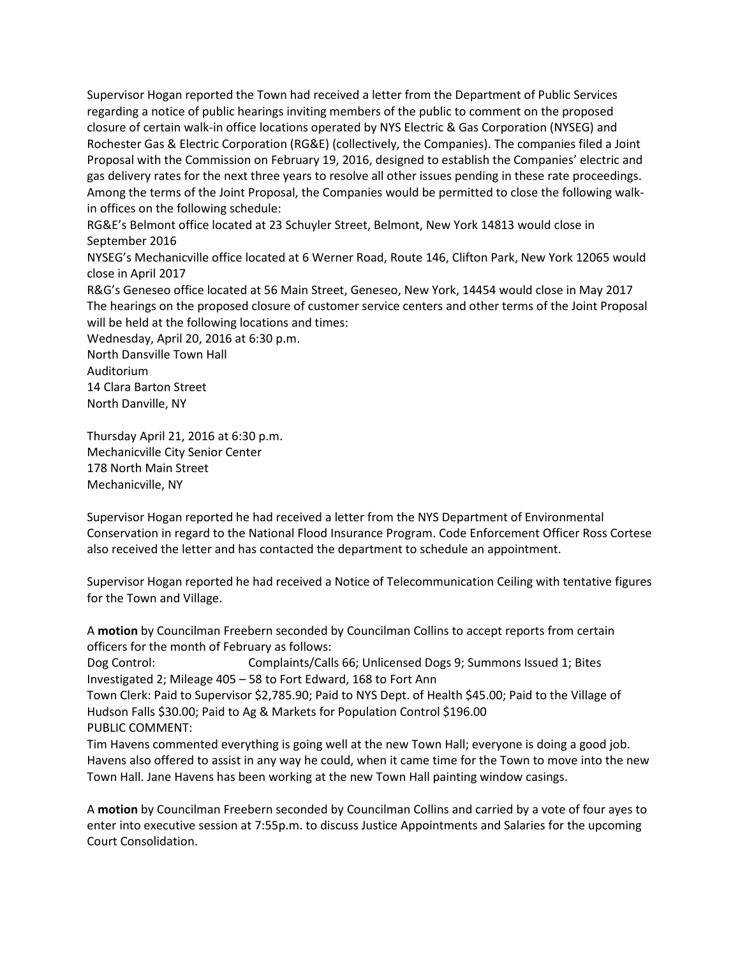Supervisor Hogan reported the Town had received a letter from the Department of Public Services regarding a notice of public hearings inviting members of the public to comment on the proposed closure of certain walk-in office locations operated by NYS Electric & Gas Corporation (NYSEG) and Rochester Gas & Electric Corporation (RG&E) (collectively, the Companies). The companies filed a Joint Proposal with the Commission on February 19, 2016, designed to establish the Companies' electric and gas delivery rates for the next three years to resolve all other issues pending in these rate proceedings. Among the terms of the Joint Proposal, the Companies would be permitted to close the following walkin offices on the following schedule:

RG&E's Belmont office located at 23 Schuyler Street, Belmont, New York 14813 would close in September 2016

NYSEG's Mechanicville office located at 6 Werner Road, Route 146, Clifton Park, New York 12065 would close in April 2017

R&G's Geneseo office located at 56 Main Street, Geneseo, New York, 14454 would close in May 2017 The hearings on the proposed closure of customer service centers and other terms of the Joint Proposal will be held at the following locations and times:

Wednesday, April 20, 2016 at 6:30 p.m. North Dansville Town Hall Auditorium 14 Clara Barton Street North Danville, NY

Thursday April 21, 2016 at 6:30 p.m. Mechanicville City Senior Center 178 North Main Street Mechanicville, NY

Supervisor Hogan reported he had received a letter from the NYS Department of Environmental Conservation in regard to the National Flood Insurance Program. Code Enforcement Officer Ross Cortese also received the letter and has contacted the department to schedule an appointment.

Supervisor Hogan reported he had received a Notice of Telecommunication Ceiling with tentative figures for the Town and Village.

A **motion** by Councilman Freebern seconded by Councilman Collins to accept reports from certain officers for the month of February as follows: Dog Control: Complaints/Calls 66; Unlicensed Dogs 9; Summons Issued 1; Bites

Investigated 2; Mileage 405 – 58 to Fort Edward, 168 to Fort Ann

Town Clerk: Paid to Supervisor \$2,785.90; Paid to NYS Dept. of Health \$45.00; Paid to the Village of Hudson Falls \$30.00; Paid to Ag & Markets for Population Control \$196.00 PUBLIC COMMENT:

Tim Havens commented everything is going well at the new Town Hall; everyone is doing a good job. Havens also offered to assist in any way he could, when it came time for the Town to move into the new Town Hall. Jane Havens has been working at the new Town Hall painting window casings.

A **motion** by Councilman Freebern seconded by Councilman Collins and carried by a vote of four ayes to enter into executive session at 7:55p.m. to discuss Justice Appointments and Salaries for the upcoming Court Consolidation.